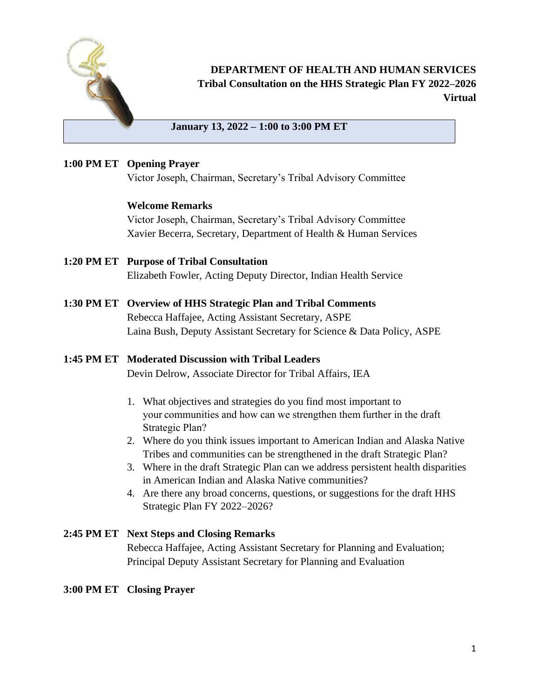

### **DEPARTMENT OF HEALTH AND HUMAN SERVICES Tribal Consultation on the HHS Strategic Plan FY 2022–2026 Virtual**

#### **January 13, 2022 – 1:00 to 3:00 PM ET**

#### **1:00 PM ET Opening Prayer**

Victor Joseph, Chairman, Secretary's Tribal Advisory Committee

#### **Welcome Remarks**

Victor Joseph, Chairman, Secretary's Tribal Advisory Committee Xavier Becerra, Secretary, Department of Health & Human Services

- **1:20 PM ET Purpose of Tribal Consultation**  Elizabeth Fowler, Acting Deputy Director, Indian Health Service
- **1:30 PM ET Overview of HHS Strategic Plan and Tribal Comments** Rebecca Haffajee, Acting Assistant Secretary, ASPE Laina Bush, Deputy Assistant Secretary for Science & Data Policy, ASPE

### **1:45 PM ET Moderated Discussion with Tribal Leaders**

Devin Delrow, Associate Director for Tribal Affairs, IEA

- 1. What objectives and strategies do you find most important to your communities and how can we strengthen them further in the draft Strategic Plan?
- 2. Where do you think issues important to American Indian and Alaska Native Tribes and communities can be strengthened in the draft Strategic Plan?
- 3. Where in the draft Strategic Plan can we address persistent health disparities in American Indian and Alaska Native communities?
- 4. Are there any broad concerns, questions, or suggestions for the draft HHS Strategic Plan FY 2022–2026?

### **2:45 PM ET Next Steps and Closing Remarks**

Rebecca Haffajee, Acting Assistant Secretary for Planning and Evaluation; Principal Deputy Assistant Secretary for Planning and Evaluation

### **3:00 PM ET Closing Prayer**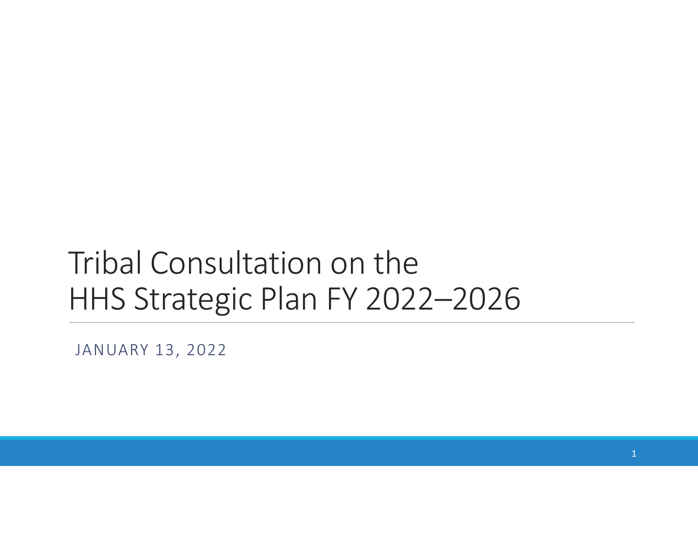# Tribal Consultation on the HHS Strategic Plan FY 2022–2026

JANUARY 13, 2022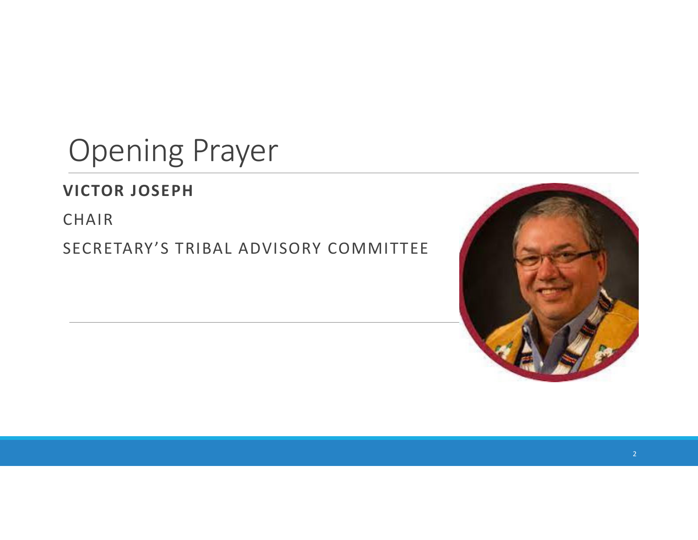# Opening Prayer

## **VICTOR JOSEPH**

CHAIR

SECRETARY'S TRIBAL ADVISORY COMMITTEE

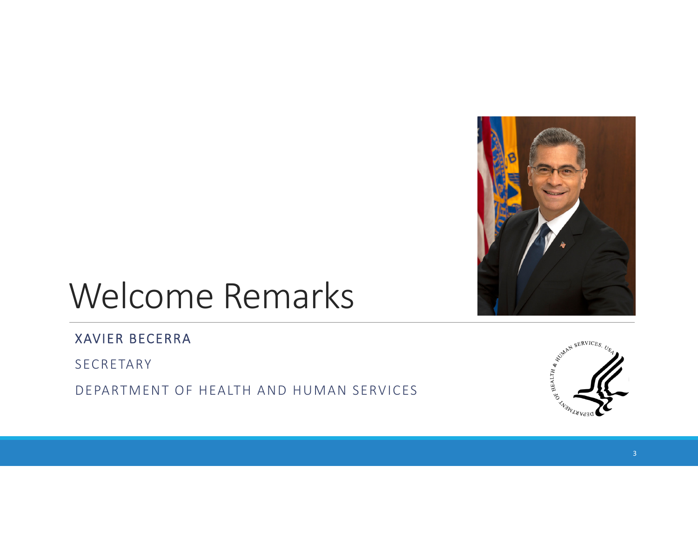

# Welcome Remarks

### XAVIER BECERRA

SECRETARY

DEPARTMENT OF HEALTH AND HUMAN SERVICES

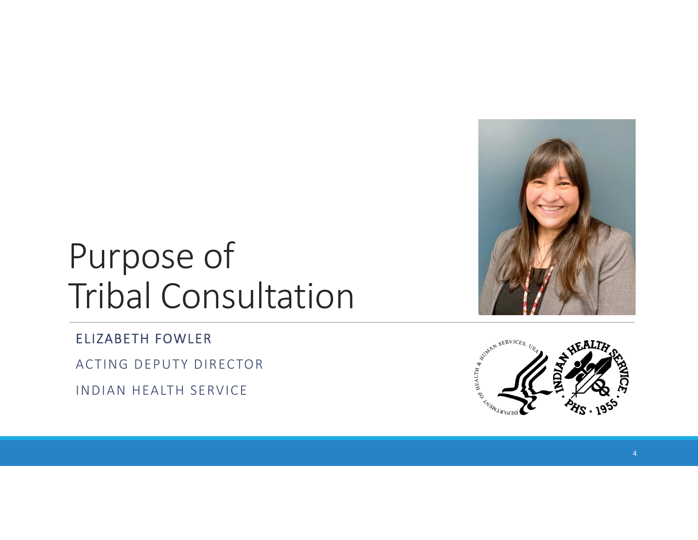

# Purpose of Tribal Consultation

ELIZABETH FOWLER

ACTING DEPUTY DIRECTOR

INDIAN HEALTH SERVICE

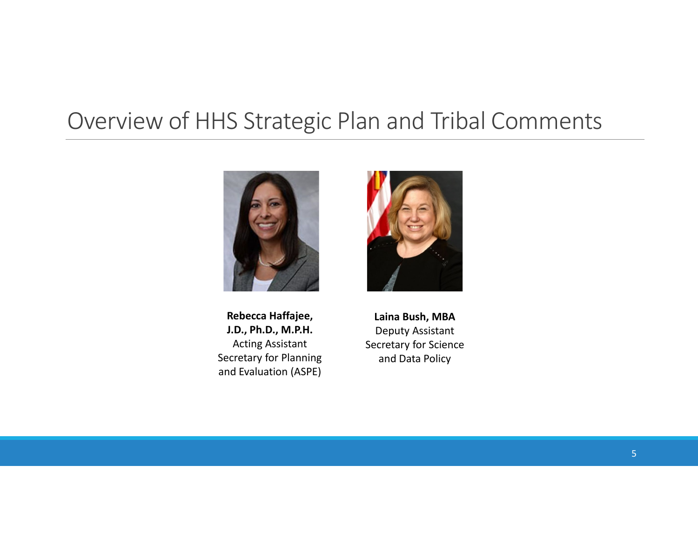## Overview of HHS Strategic Plan and Tribal Comments



**RebeccaJ.D., Ph.D., M.P.H.** Deputy Assistant Secretary for Planning and Data Policy and Evaluation (ASPE)

 **Haffajee, Laina Bush, MBA** Acting Assistant Secretary for Science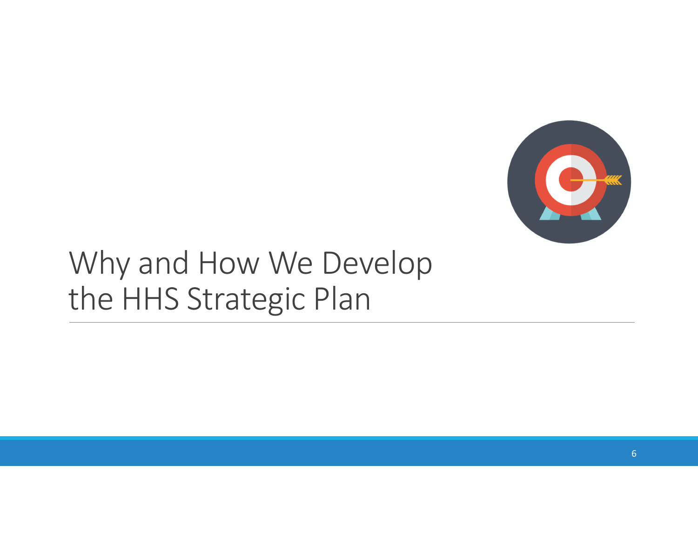

# Why and How We Develop the HHS Strategic Plan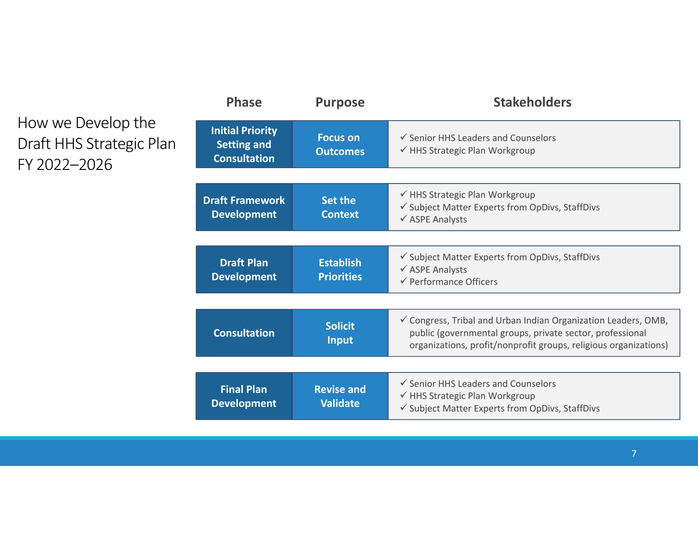## How we Develop the Draft HHS Strategic Plan FY 2022–2026

| <b>Phase</b>                                                         | <b>Purpose</b>                        | <b>Stakeholders</b>                                                                                                                                                                             |  |
|----------------------------------------------------------------------|---------------------------------------|-------------------------------------------------------------------------------------------------------------------------------------------------------------------------------------------------|--|
| <b>Initial Priority</b><br><b>Setting and</b><br><b>Consultation</b> | <b>Focus on</b><br><b>Outcomes</b>    | $\checkmark$ Senior HHS Leaders and Counselors<br>√ HHS Strategic Plan Workgroup                                                                                                                |  |
|                                                                      |                                       |                                                                                                                                                                                                 |  |
| <b>Draft Framework</b><br><b>Development</b>                         | <b>Set the</b><br><b>Context</b>      | ← HHS Strategic Plan Workgroup<br>✓ Subject Matter Experts from OpDivs, StaffDivs<br>$\checkmark$ ASPE Analysts                                                                                 |  |
|                                                                      |                                       |                                                                                                                                                                                                 |  |
| <b>Draft Plan</b><br><b>Development</b>                              | <b>Establish</b><br><b>Priorities</b> | ✔ Subject Matter Experts from OpDivs, StaffDivs<br>$\checkmark$ ASPE Analysts<br>← Performance Officers                                                                                         |  |
|                                                                      |                                       |                                                                                                                                                                                                 |  |
| <b>Consultation</b>                                                  | <b>Solicit</b><br><b>Input</b>        | ✓ Congress, Tribal and Urban Indian Organization Leaders, OMB,<br>public (governmental groups, private sector, professional<br>organizations, profit/nonprofit groups, religious organizations) |  |
|                                                                      |                                       |                                                                                                                                                                                                 |  |
| <b>Final Plan</b><br><b>Development</b>                              | <b>Revise and</b><br><b>Validate</b>  | $\checkmark$ Senior HHS Leaders and Counselors<br>√ HHS Strategic Plan Workgroup<br>✔ Subject Matter Experts from OpDivs, StaffDivs                                                             |  |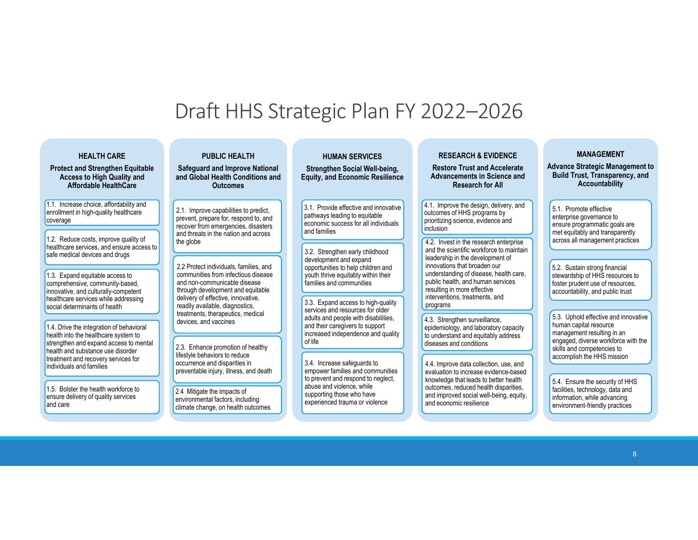## Draft HHS Strategic Plan FY 2022–2026

| <b>HEALTH CARE</b><br><b>Protect and Strengthen Equitable</b><br><b>Access to High Quality and</b><br><b>Affordable HealthCare</b>                                                                                                                                                | <b>PUBLIC HEALTH</b><br><b>Safeguard and Improve National</b><br>and Global Health Conditions and<br><b>Outcomes</b>                                                                                                                                                                      | <b>HUMAN SERVICES</b><br><b>Strengthen Social Well-being,</b><br><b>Equity, and Economic Resilience</b>                                                                                                                                                    | <b>RESEARCH &amp; EVIDENCE</b><br><b>Restore Trust and Accelerate</b><br><b>Advancements in Science and</b><br><b>Research for All</b>                                                                                                                                                                    | <b>MANAGEMENT</b><br><b>Advance Strategic Management to</b><br><b>Build Trust, Transparency, and</b><br>Accountability                                                                                                                   |
|-----------------------------------------------------------------------------------------------------------------------------------------------------------------------------------------------------------------------------------------------------------------------------------|-------------------------------------------------------------------------------------------------------------------------------------------------------------------------------------------------------------------------------------------------------------------------------------------|------------------------------------------------------------------------------------------------------------------------------------------------------------------------------------------------------------------------------------------------------------|-----------------------------------------------------------------------------------------------------------------------------------------------------------------------------------------------------------------------------------------------------------------------------------------------------------|------------------------------------------------------------------------------------------------------------------------------------------------------------------------------------------------------------------------------------------|
| 1.1. Increase choice, affordability and<br>enrollment in high-quality healthcare<br>coverage<br>1.2. Reduce costs, improve quality of<br>healthcare services, and ensure access to<br>safe medical devices and drugs                                                              | 2.1. Improve capabilities to predict,<br>prevent, prepare for, respond to, and<br>recover from emergencies, disasters<br>and threats in the nation and across<br>the globe                                                                                                                | 3.1. Provide effective and innovative<br>pathways leading to equitable<br>economic success for all individuals<br>and families<br>3.2. Strengthen early childhood<br>development and expand                                                                | 4.1. Improve the design, delivery, and<br>outcomes of HHS programs by<br>prioritizing science, evidence and<br>inclusion<br>4.2. Invest in the research enterprise<br>and the scientific workforce to maintain<br>leadership in the development of<br>innovations that broaden our                        | 5.1. Promote effective<br>enterprise governance to<br>ensure programmatic goals are<br>met equitably and transparently<br>across all management practices                                                                                |
| 1.3. Expand equitable access to<br>comprehensive, community-based,<br>innovative, and culturally-competent<br>healthcare services while addressing<br>social determinants of health<br>1.4. Drive the integration of behavioral                                                   | 2.2 Protect individuals, families, and<br>communities from infectious disease<br>and non-communicable disease<br>through development and equitable<br>delivery of effective, innovative,<br>readily available, diagnostics,<br>treatments, therapeutics, medical<br>devices, and vaccines | opportunities to help children and<br>youth thrive equitably within their<br>families and communities<br>3.3. Expand access to high-quality<br>services and resources for older<br>adults and people with disabilities.<br>and their caregivers to support | understanding of disease, health care,<br>public health, and human services<br>resulting in more effective<br>interventions, treatments, and<br>programs<br>4.3. Strengthen surveillance,<br>epidemiology, and laboratory capacity                                                                        | 5.2. Sustain strong financial<br>stewardship of HHS resources to<br>foster prudent use of resources.<br>accountability, and public trust<br>5.3. Uphold effective and innovative<br>human capital resource<br>management resulting in an |
| health into the healthcare system to<br>strengthen and expand access to mental<br>health and substance use disorder<br>treatment and recovery services for<br>individuals and families<br>1.5. Bolster the health workforce to<br>ensure delivery of quality services<br>and care | 2.3. Enhance promotion of healthy<br>lifestyle behaviors to reduce<br>occurrence and disparities in<br>preventable injury, illness, and death<br>2.4 Mitigate the impacts of<br>environmental factors, including<br>climate change, on health outcomes                                    | increased independence and quality<br>of life<br>3.4. Increase safequards to<br>empower families and communities<br>to prevent and respond to neglect,<br>abuse and violence, while<br>supporting those who have<br>experienced trauma or violence         | to understand and equitably address<br>diseases and conditions<br>4.4. Improve data collection, use, and<br>evaluation to increase evidence-based<br>knowledge that leads to better health<br>outcomes, reduced health disparities,<br>and improved social well-being, equity,<br>and economic resilience | engaged, diverse workforce with the<br>skills and competencies to<br>accomplish the HHS mission<br>5.4. Ensure the security of HHS<br>facilities, technology, data and<br>information, while advancing<br>environment-friendly practices |
|                                                                                                                                                                                                                                                                                   |                                                                                                                                                                                                                                                                                           |                                                                                                                                                                                                                                                            |                                                                                                                                                                                                                                                                                                           |                                                                                                                                                                                                                                          |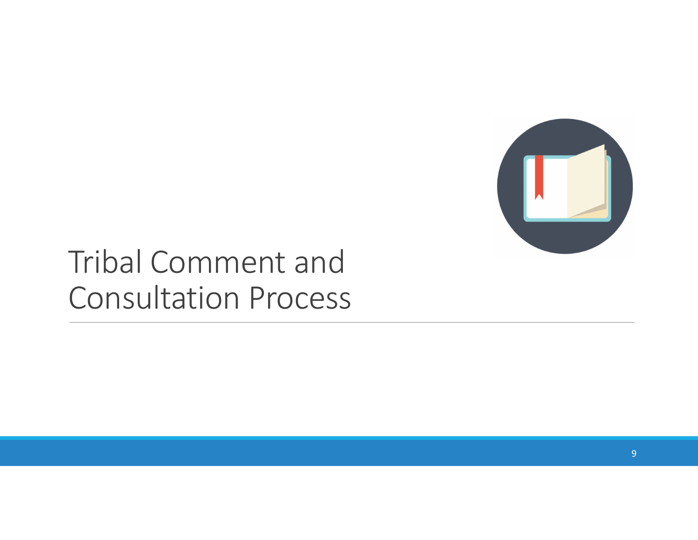

# Tribal Comment and Consultation Process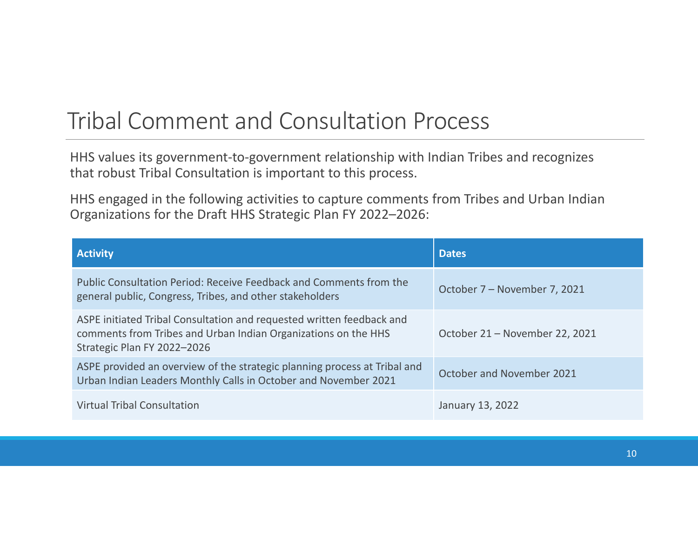# Tribal Comment and Consultation Process

HHS values its government‐to‐government relationship with Indian Tribes and recognizes that robust Tribal Consultation is important to this process.

HHS engaged in the following activities to capture comments from Tribes and Urban Indian Organizations for the Draft HHS Strategic Plan FY 2022–2026:

| <b>Activity</b>                                                                                                                                                        | <b>Dates</b>                   |  |
|------------------------------------------------------------------------------------------------------------------------------------------------------------------------|--------------------------------|--|
| Public Consultation Period: Receive Feedback and Comments from the<br>general public, Congress, Tribes, and other stakeholders                                         | October 7 – November 7, 2021   |  |
| ASPE initiated Tribal Consultation and requested written feedback and<br>comments from Tribes and Urban Indian Organizations on the HHS<br>Strategic Plan FY 2022-2026 | October 21 – November 22, 2021 |  |
| ASPE provided an overview of the strategic planning process at Tribal and<br>Urban Indian Leaders Monthly Calls in October and November 2021                           | October and November 2021      |  |
| <b>Virtual Tribal Consultation</b>                                                                                                                                     | January 13, 2022               |  |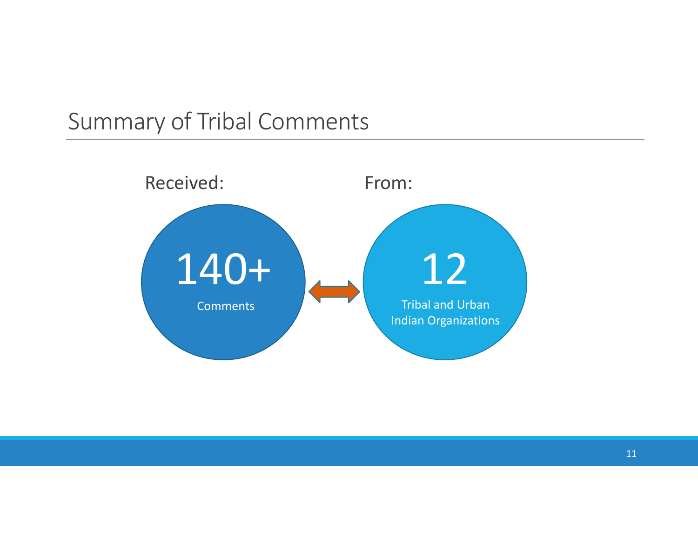## Summary of Tribal Comments

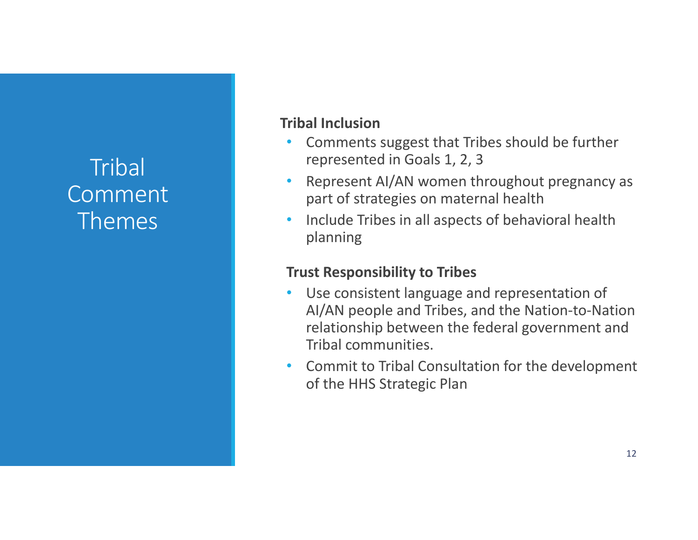## **Tribal** Comment Themes

### **Tribal Inclusion**

- Comments suggest that Tribes should be further represented in Goals 1, 2, 3
- Represent AI/AN women throughout pregnancy as part of strategies on maternal health
- Include Tribes in all aspects of behavioral health planning

### **Trust Responsibility to Tribes**

- Use consistent language and representation of AI/AN people and Tribes, and the Nation‐to‐Nation relationship between the federal government and Tribal communities.
- Commit to Tribal Consultation for the development of the HHS Strategic Plan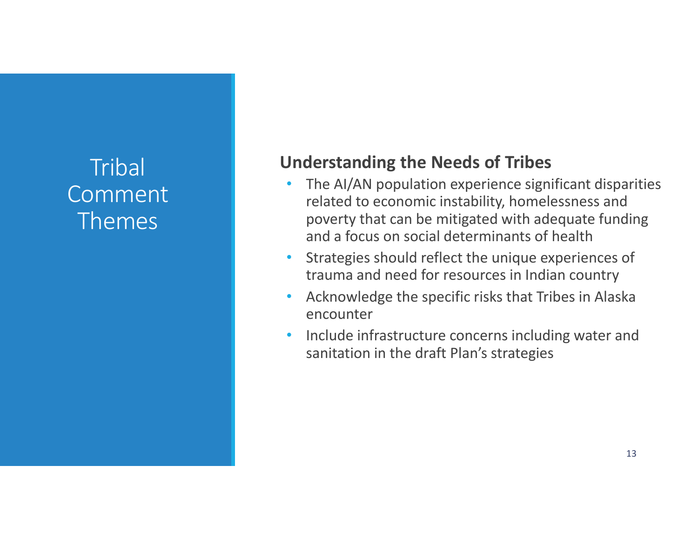## **Tribal** Comment Themes

## **Understanding the Needs of Tribes**

- The AI/AN population experience significant disparities related to economic instability, homelessness and poverty that can be mitigated with adequate funding and a focus on social determinants of health
- Strategies should reflect the unique experiences of trauma and need for resources in Indian country
- Acknowledge the specific risks that Tribes in Alaska encounter
- Include infrastructure concerns including water and sanitation in the draft Plan's strategies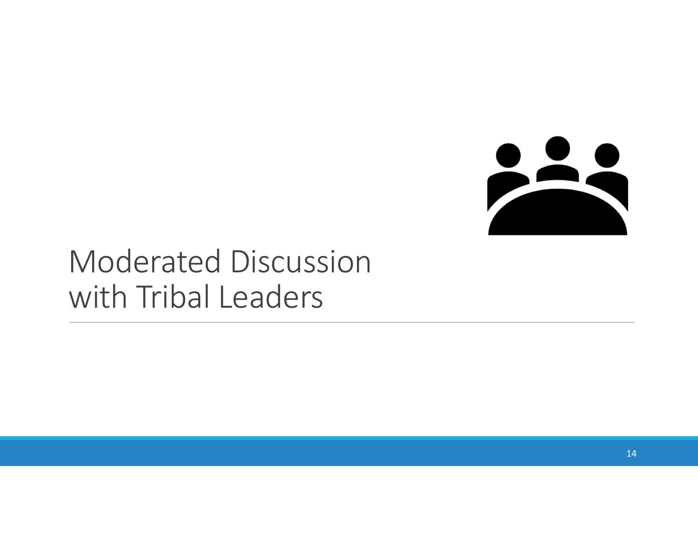

# Moderated Discussion with Tribal Leaders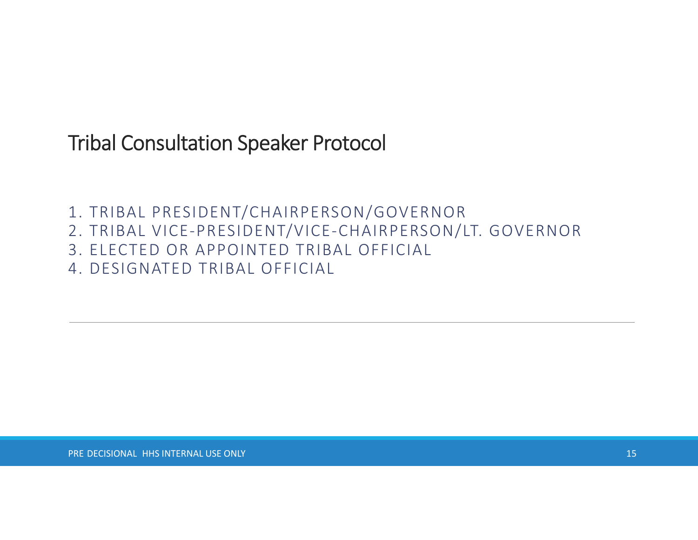Tribal Consultation Speaker Protocol

1. TRIBAL PRESIDENT/CHAIRPERSON/GOVERNOR

- 2. TRIBAL VICE‐PRESIDENT/VICE‐CHAIRPERSON/LT. GOVERNOR
- 3. ELECTED OR APPOINTED TRIBAL OFFICIAL
- 4. DESIGNATED TRIBAL OFFICIAL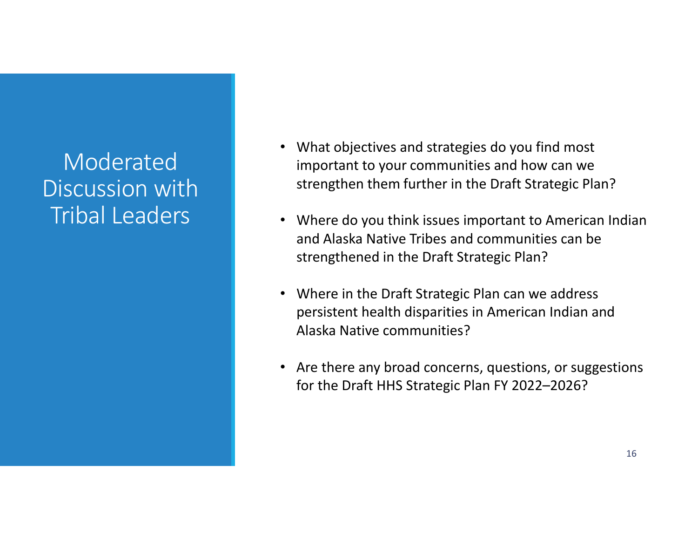## ModeratedDiscussion with Tribal Leaders

- What objectives and strategies do you find most important to your communities and how can we strengthen them further in the Draft Strategic Plan?
- Where do you think issues important to American Indian and Alaska Native Tribes and communities can be strengthened in the Draft Strategic Plan?
- Where in the Draft Strategic Plan can we address persistent health disparities in American Indian and Alaska Native communities?
- Are there any broad concerns, questions, or suggestions for the Draft HHS Strategic Plan FY 2022–2026?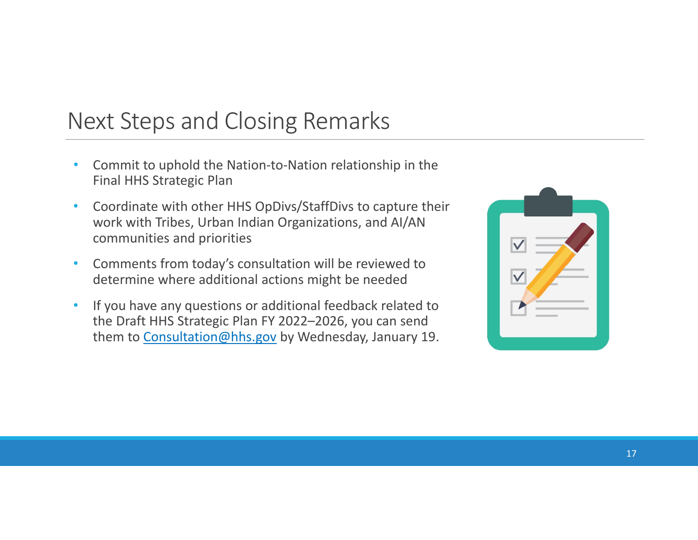## Next Steps and Closing Remarks

- Commit to uphold the Nation-to-Nation relationship in the Final HHS Strategic Plan
- Coordinate with other HHS OpDivs/StaffDivs to capture their work with Tribes, Urban Indian Organizations, and AI/AN communities and priorities
- Comments from today's consultation will be reviewed to determine where additional actions might be needed
- If you have any questions or additional feedback related to the Draft HHS Strategic Plan FY 2022–2026, you can send them to [Consultation@hhs.gov](mailto:Consultation@hhs.gov) by Wednesday, January 19.